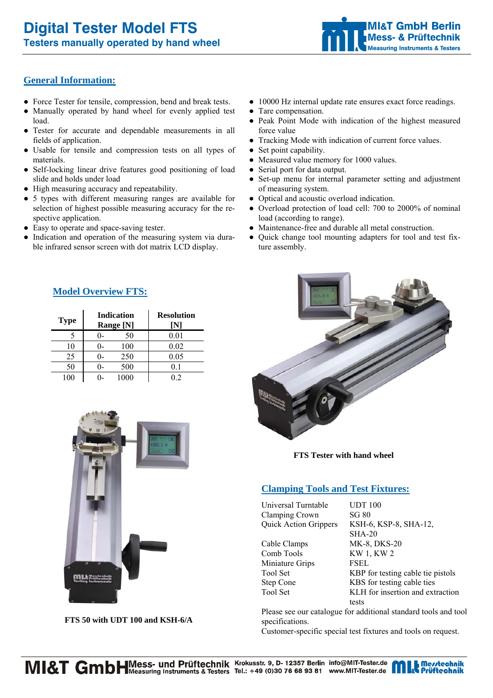

# **General Information:**

- Force Tester for tensile, compression, bend and break tests.
- Manually operated by hand wheel for evenly applied test load.
- Tester for accurate and dependable measurements in all fields of application.
- Usable for tensile and compression tests on all types of materials.
- Self-locking linear drive features good positioning of load slide and holds under load
- High measuring accuracy and repeatability.
- 5 types with different measuring ranges are available for selection of highest possible measuring accuracy for the respective application.
- Easy to operate and space-saving tester.
- Indication and operation of the measuring system via durable infrared sensor screen with dot matrix LCD display.
- 10000 Hz internal update rate ensures exact force readings.
- Tare compensation.
- Peak Point Mode with indication of the highest measured force value
- Tracking Mode with indication of current force values.
- Set point capability.
- Measured value memory for 1000 values.
- Serial port for data output.
- Set-up menu for internal parameter setting and adjustment of measuring system.
- Optical and acoustic overload indication.
- Overload protection of load cell: 700 to 2000% of nominal load (according to range).
- Maintenance-free and durable all metal construction.
- Quick change tool mounting adapters for tool and test fixture assembly.



**FTS Tester with hand wheel** 

## **Clamping Tools and Test Fixtures:**

Universal Turntable UDT 100 Clamping Crown SG 80

Cable Clamps MK-8, DKS-20 Comb Tools KW 1, KW 2 Miniature Grips FSEL

Quick Action Grippers KSH-6, KSP-8, SHA-12, SHA-20 Tool Set KBP for testing cable tie pistols Step Cone KBS for testing cable ties Tool Set **KLH** for insertion and extraction tests

Please see our catalogue for additional standard tools and tool specifications.

Customer-specific special test fixtures and tools on request.

# **Model Overview FTS:**

| <b>Type</b>    | <b>Indication</b><br>Range [N] | <b>Resolution</b><br>ΙNΊ |
|----------------|--------------------------------|--------------------------|
|                | 50<br>()-                      | 0.01                     |
| 10             | 100<br>()-                     | 0.02                     |
| 25             | 250<br>I)-                     | 0.05                     |
| 50             | 500<br>()                      | 0.1                      |
| 0 <sup>0</sup> | 1000                           | $\sqrt{2}$               |



**FTS 50 with UDT 100 and KSH-6/A**